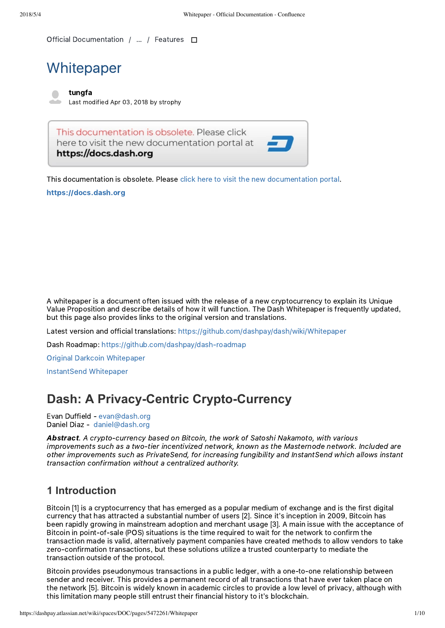Official [Documentation](https://dashpay.atlassian.net/wiki/spaces/DOC/overview) / … / [Features](https://dashpay.atlassian.net/wiki/spaces/DOC/pages/1146916/Features)

# **Whitepaper**

[tungfa](https://dashpay.atlassian.net/wiki/display/~tungfa-old) Last modified Apr 03, [2018](https://dashpay.atlassian.net/wiki/pages/diffpagesbyversion.action?pageId=5472261&selectedPageVersions=11&selectedPageVersions=12) by [strophy](https://dashpay.atlassian.net/wiki/display/~leonwhite)

This documentation is obsolete. Please click here to visit the new documentation portal at https://docs.dash.org



### [https://docs.dash.org](https://docs.dash.org/)

A whitepaper is a document often issued with the release of a new cryptocurrency to explain its Unique Value Proposition and describe details of how it will function. The Dash Whitepaper is frequently updated, but this page also provides links to the original version and translations.

Latest version and official translations: <https://github.com/dashpay/dash/wiki/Whitepaper>

Dash Roadmap: https://github.com/dashpay/dash-roadmap

Original Darkcoin [Whitepaper](https://dashpay.atlassian.net/wiki/download/attachments/132120878/Darkcoin%20Whitepaper.pdf)

[InstantSend](https://dashpay.atlassian.net/wiki/download/attachments/132120878/Dash%20Whitepaper%20-%20InstantTX.pdf) Whitepaper

# **Dash: A Privacy-Centric Crypto-Currency**

Evan Duffield ‑ [evan@dash.](mailto:evan@dashpay.io)[org](mailto:evan@dash.org) Daniel Diaz ‑ [daniel@dash.](mailto:daniel@dashpay.io)[org](mailto:daniel@dash.org)

Abstract. A crypto-currency based on Bitcoin, the work of Satoshi Nakamoto, with various improvements such as a two-tier incentivized network, known as the Masternode network. Included are other improvements such as PrivateSend, for increasing fungibility and InstantSend which allows instant transaction confirmation without a centralized authority.

### **1 Introduction**

Bitcoin [1] is a cryptocurrency that has emerged as a popular medium of exchange and is the first digital currency that has attracted a substantial number of users [2]. Since it's inception in 2009, Bitcoin has been rapidly growing in mainstream adoption and merchant usage [3]. A main issue with the acceptance of Bitcoin in point-of-sale (POS) situations is the time required to wait for the network to confirm the transaction made is valid, alternatively payment companies have created methods to allow vendors to take zero-confirmation transactions, but these solutions utilize a trusted counterparty to mediate the transaction outside of the protocol.

Bitcoin provides pseudonymous transactions in a public ledger, with a one-to-one relationship between sender and receiver. This provides a permanent record of all transactions that have ever taken place on the network [5]. Bitcoin is widely known in academic circles to provide a low level of privacy, although with this limitation many people still entrust their financial history to it's blockchain.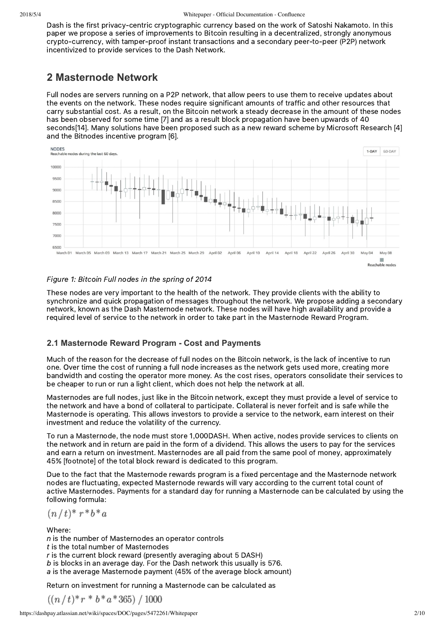Dash is the first privacy‑centric cryptographic currency based on the work of Satoshi Nakamoto. In this paper we propose a series of improvements to Bitcoin resulting in a decentralized, strongly anonymous crypto-currency, with tamper-proof instant transactions and a secondary peer-to-peer (P2P) network incentivized to provide services to the Dash Network.

# **2 Masternode Network**

Full nodes are servers running on a P2P network, that allow peers to use them to receive updates about the events on the network. These nodes require significant amounts of traffic and other resources that carry substantial cost. As a result, on the Bitcoin network a steady decrease in the amount of these nodes has been observed for some time [7] and as a result block propagation have been upwards of 40 seconds[14]. Many solutions have been proposed such as a new reward scheme by Microsoft Research [4] and the Bitnodes incentive program [6].



### Figure 1: Bitcoin Full nodes in the spring of 2014

These nodes are very important to the health of the network. They provide clients with the ability to synchronize and quick propagation of messages throughout the network. We propose adding a secondary network, known as the Dash Masternode network. These nodes will have high availability and provide a required level of service to the network in order to take part in the Masternode Reward Program.

### **2.1 Masternode Reward Program Cost and Payments**

Much of the reason for the decrease of full nodes on the Bitcoin network, is the lack of incentive to run one. Over time the cost of running a full node increases as the network gets used more, creating more bandwidth and costing the operator more money. As the cost rises, operators consolidate their services to be cheaper to run or run a light client, which does not help the network at all.

Masternodes are full nodes, just like in the Bitcoin network, except they must provide a level of service to the network and have a bond of collateral to participate. Collateral is never forfeit and is safe while the Masternode is operating. This allows investors to provide a service to the network, earn interest on their investment and reduce the volatility of the currency.

To run a Masternode, the node must store 1,000DASH. When active, nodes provide services to clients on the network and in return are paid in the form of a dividend. This allows the users to pay for the services and earn a return on investment. Masternodes are all paid from the same pool of money, approximately 45% [footnote] of the total block reward is dedicated to this program.

Due to the fact that the Masternode rewards program is a fixed percentage and the Masternode network nodes are fluctuating, expected Masternode rewards will vary according to the current total count of active Masternodes. Payments for a standard day for running a Masternode can be calculated by using the following formula:

$$
(n/t)^* r^* b^* a
$$

Where:

 $n$  is the number of Masternodes an operator controls t is the total number of Masternodes r is the current block reward (presently averaging about 5 DASH) b is blocks in an average day. For the Dash network this usually is 576. a is the average Masternode payment (45% of the average block amount)

Return on investment for running a Masternode can be calculated as

$$
((n/t)*r*b*a*365)/1000
$$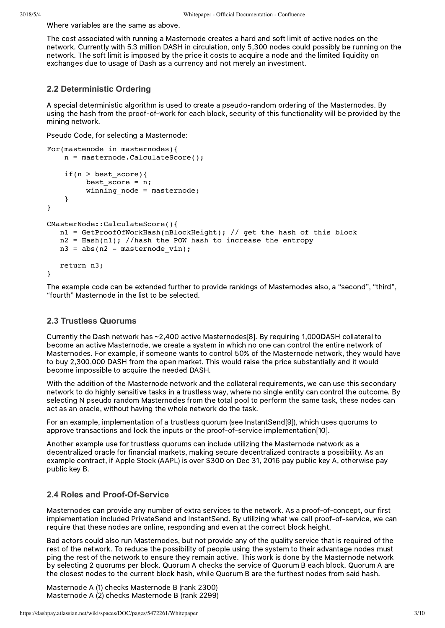Where variables are the same as above.

The cost associated with running a Masternode creates a hard and soft limit of active nodes on the network. Currently with 5.3 million DASH in circulation, only 5,300 nodes could possibly be running on the network. The soft limit is imposed by the price it costs to acquire a node and the limited liquidity on exchanges due to usage of Dash as a currency and not merely an investment.

### **2.2 Deterministic Ordering**

A special deterministic algorithm is used to create a pseudo-random ordering of the Masternodes. By using the hash from the proof‑of‑work for each block, security of this functionality will be provided by the mining network.

Pseudo Code, for selecting a Masternode:

```
For(mastenode in masternodes){
     n = masternode.CalculateScore();
     if(n > best_score){
         best score = n;
         winning node = masternode:
     }
}
CMasterNode::CalculateScore(){
    n1 = GetProofOfWorkHash(nBlockHeight); // get the hash of this block
   n2 = Hash(n1); //hash the POW hash to increase the entropy
   n3 = abs(n2 - masternode vin); return n3;
}
```
The example code can be extended further to provide rankings of Masternodes also, a "second", "third", "fourth" Masternode in the list to be selected.

### **2.3 Trustless Quorums**

Currently the Dash network has ~2,400 active Masternodes[8]. By requiring 1,000DASH collateral to become an active Masternode, we create a system in which no one can control the entire network of Masternodes. For example, if someone wants to control 50% of the Masternode network, they would have to buy 2,300,000 DASH from the open market. This would raise the price substantially and it would become impossible to acquire the needed DASH.

With the addition of the Masternode network and the collateral requirements, we can use this secondary network to do highly sensitive tasks in a trustless way, where no single entity can control the outcome. By selecting N pseudo random Masternodes from the total pool to perform the same task, these nodes can act as an oracle, without having the whole network do the task.

For an example, implementation of a trustless quorum (see InstantSend[9]), which uses quorums to approve transactions and lock the inputs or the proof-of-service implementation[10].

Another example use for trustless quorums can include utilizing the Masternode network as a decentralized oracle for financial markets, making secure decentralized contracts a possibility. As an example contract, if Apple Stock (AAPL) is over \$300 on Dec 31, 2016 pay public key A, otherwise pay public key B.

### **2.4 Roles and Proof-Of-Service**

Masternodes can provide any number of extra services to the network. As a proof-of-concept, our first implementation included PrivateSend and InstantSend. By utilizing what we call proof-of-service, we can require that these nodes are online, responding and even at the correct block height.

Bad actors could also run Masternodes, but not provide any of the quality service that is required of the rest of the network. To reduce the possibility of people using the system to their advantage nodes must ping the rest of the network to ensure they remain active. This work is done by the Masternode network by selecting 2 quorums per block. Quorum A checks the service of Quorum B each block. Quorum A are the closest nodes to the current block hash, while Quorum B are the furthest nodes from said hash.

Masternode A (1) checks Masternode B (rank 2300) Masternode A (2) checks Masternode B (rank 2299)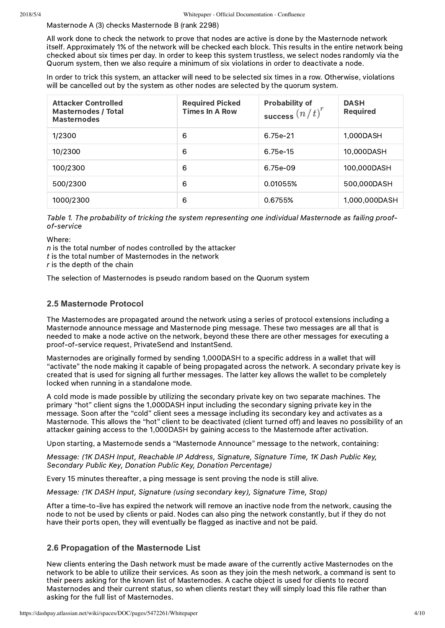Masternode A (3) checks Masternode B (rank 2298)

All work done to check the network to prove that nodes are active is done by the Masternode network itself. Approximately 1% of the network will be checked each block. This results in the entire network being checked about six times per day. In order to keep this system trustless, we select nodes randomly via the Quorum system, then we also require a minimum of six violations in order to deactivate a node.

In order to trick this system, an attacker will need to be selected six times in a row. Otherwise, violations will be cancelled out by the system as other nodes are selected by the quorum system.

| <b>Attacker Controlled</b><br><b>Masternodes / Total</b><br><b>Masternodes</b> | <b>Required Picked</b><br><b>Times In A Row</b> | <b>Probability of</b><br>success $\left(n\,t\right)^{r}$ | <b>DASH</b><br><b>Required</b> |
|--------------------------------------------------------------------------------|-------------------------------------------------|----------------------------------------------------------|--------------------------------|
| 1/2300                                                                         | 6                                               | 6.75e-21                                                 | 1,000DASH                      |
| 10/2300                                                                        | 6                                               | 6.75e-15                                                 | 10,000DASH                     |
| 100/2300                                                                       | 6                                               | 6.75e-09                                                 | 100,000DASH                    |
| 500/2300                                                                       | 6                                               | 0.01055%                                                 | 500,000DASH                    |
| 1000/2300                                                                      | 6                                               | 0.6755%                                                  | 1,000,000DASH                  |

Table 1. The probability of tricking the system representing one individual Masternode as failing proofof‑service

Where:

 $n$  is the total number of nodes controlled by the attacker t is the total number of Masternodes in the network  $r$  is the depth of the chain

The selection of Masternodes is pseudo random based on the Quorum system

### **2.5 Masternode Protocol**

The Masternodes are propagated around the network using a series of protocol extensions including a Masternode announce message and Masternode ping message. These two messages are all that is needed to make a node active on the network, beyond these there are other messages for executing a proof‑of‑service request, PrivateSend and InstantSend.

Masternodes are originally formed by sending 1,000DASH to a specific address in a wallet that will "activate" the node making it capable of being propagated across the network. A secondary private key is created that is used for signing all further messages. The latter key allows the wallet to be completely locked when running in a standalone mode.

A cold mode is made possible by utilizing the secondary private key on two separate machines. The primary "hot" client signs the 1,000DASH input including the secondary signing private key in the message. Soon after the "cold" client sees a message including its secondary key and activates as a Masternode. This allows the "hot" client to be deactivated (client turned off) and leaves no possibility of an attacker gaining access to the 1,000DASH by gaining access to the Masternode after activation.

Upon starting, a Masternode sends a "Masternode Announce" message to the network, containing:

Message: (1K DASH Input, Reachable IP Address, Signature, Signature Time, 1K Dash Public Key, Secondary Public Key, Donation Public Key, Donation Percentage)

Every 15 minutes thereafter, a ping message is sent proving the node is still alive.

Message: (1K DASH Input, Signature (using secondary key), Signature Time, Stop)

After a time-to-live has expired the network will remove an inactive node from the network, causing the node to not be used by clients or paid. Nodes can also ping the network constantly, but if they do not have their ports open, they will eventually be flagged as inactive and not be paid.

#### **2.6 Propagation of the Masternode List**

New clients entering the Dash network must be made aware of the currently active Masternodes on the network to be able to utilize their services. As soon as they join the mesh network, a command is sent to their peers asking for the known list of Masternodes. A cache object is used for clients to record Masternodes and their current status, so when clients restart they will simply load this file rather than asking for the full list of Masternodes.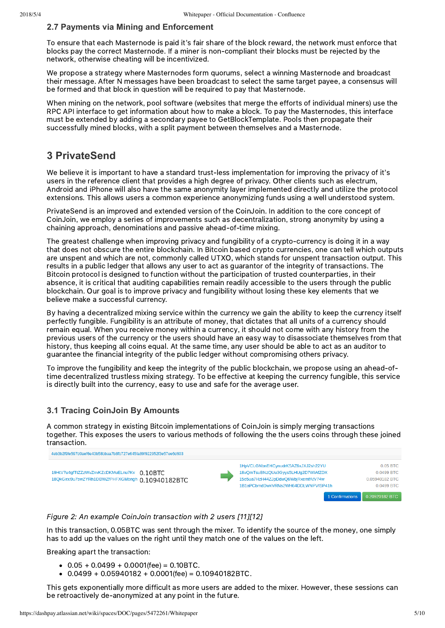### **2.7 Payments via Mining and Enforcement**

To ensure that each Masternode is paid it's fair share of the block reward, the network must enforce that blocks pay the correct Masternode. If a miner is non‑compliant their blocks must be rejected by the network, otherwise cheating will be incentivized.

We propose a strategy where Masternodes form quorums, select a winning Masternode and broadcast their message. After N messages have been broadcast to select the same target payee, a consensus will be formed and that block in question will be required to pay that Masternode.

When mining on the network, pool software (websites that merge the efforts of individual miners) use the RPC API interface to get information about how to make a block. To pay the Masternodes, this interface must be extended by adding a secondary payee to GetBlockTemplate. Pools then propagate their successfully mined blocks, with a split payment between themselves and a Masternode.

# **3 PrivateSend**

We believe it is important to have a standard trust-less implementation for improving the privacy of it's users in the reference client that provides a high degree of privacy. Other clients such as electrum, Android and iPhone will also have the same anonymity layer implemented directly and utilize the protocol extensions. This allows users a common experience anonymizing funds using a well understood system.

PrivateSend is an improved and extended version of the CoinJoin. In addition to the core concept of CoinJoin, we employ a series of improvements such as decentralization, strong anonymity by using a chaining approach, denominations and passive ahead-of-time mixing.

The greatest challenge when improving privacy and fungibility of a crypto-currency is doing it in a way that does not obscure the entire blockchain. In Bitcoin based crypto currencies, one can tell which outputs are unspent and which are not, commonly called UTXO, which stands for unspent transaction output. This results in a public ledger that allows any user to act as guarantor of the integrity of transactions. The Bitcoin protocol is designed to function without the participation of trusted counterparties, in their absence, it is critical that auditing capabilities remain readily accessible to the users through the public blockchain. Our goal is to improve privacy and fungibility without losing these key elements that we believe make a successful currency.

By having a decentralized mixing service within the currency we gain the ability to keep the currency itself perfectly fungible. Fungibility is an attribute of money, that dictates that all units of a currency should remain equal. When you receive money within a currency, it should not come with any history from the previous users of the currency or the users should have an easy way to disassociate themselves from that history, thus keeping all coins equal. At the same time, any user should be able to act as an auditor to guarantee the financial integrity of the public ledger without compromising others privacy.

To improve the fungibility and keep the integrity of the public blockchain, we propose using an ahead-oftime decentralized trustless mixing strategy. To be effective at keeping the currency fungible, this service is directly built into the currency, easy to use and safe for the average user.

### **3.1 Tracing CoinJoin By Amounts**

A common strategy in existing Bitcoin implementations of CoinJoin is simply merging transactions together. This exposes the users to various methods of following the the users coins through these joined transaction.



Figure 2: An example CoinJoin transaction with 2 users [11][12]

In this transaction, 0.05BTC was sent through the mixer. To identify the source of the money, one simply has to add up the values on the right until they match one of the values on the left.

Breaking apart the transaction:

- $\bullet$  0.05 + 0.0499 + 0.0001(fee) = 0.10BTC.
- $\bullet$  0.0499 + 0.05940182 + 0.0001(fee) = 0.10940182BTC.

This gets exponentially more difficult as more users are added to the mixer. However, these sessions can be retroactively de‑anonymized at any point in the future.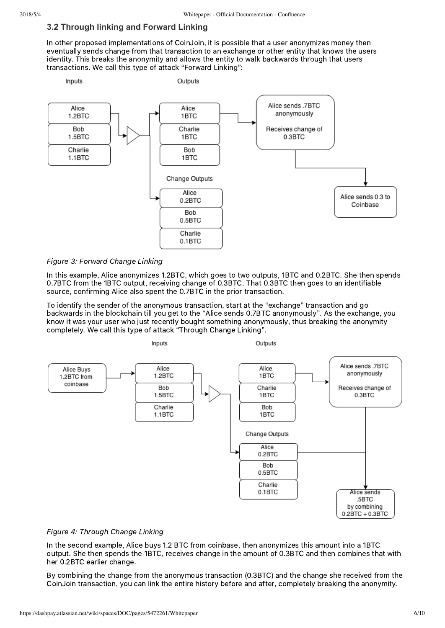#### **3.2 Through linking and Forward Linking**

In other proposed implementations of CoinJoin, it is possible that a user anonymizes money then eventually sends change from that transaction to an exchange or other entity that knows the users identity. This breaks the anonymity and allows the entity to walk backwards through that users transactions. We call this type of attack "Forward Linking":



Figure 3: Forward Change Linking

In this example, Alice anonymizes 1.2BTC, which goes to two outputs, 1BTC and 0.2BTC. She then spends 0.7BTC from the 1BTC output, receiving change of 0.3BTC. That 0.3BTC then goes to an identifiable source, confirming Alice also spent the 0.7BTC in the prior transaction.

To identify the sender of the anonymous transaction, start at the "exchange" transaction and go backwards in the blockchain till you get to the "Alice sends 0.7BTC anonymously". As the exchange, you know it was your user who just recently bought something anonymously, thus breaking the anonymity completely. We call this type of attack "Through Change Linking".



#### Figure 4: Through Change Linking

In the second example, Alice buys 1.2 BTC from coinbase, then anonymizes this amount into a 1BTC output. She then spends the 1BTC, receives change in the amount of 0.3BTC and then combines that with her 0.2BTC earlier change.

By combining the change from the anonymous transaction (0.3BTC) and the change she received from the CoinJoin transaction, you can link the entire history before and after, completely breaking the anonymity.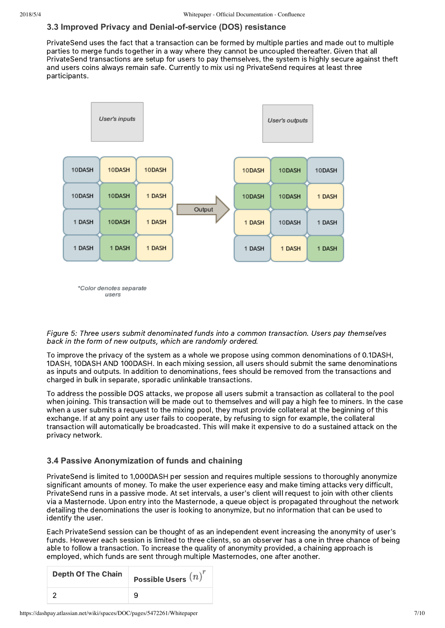### **3.3 Improved Privacy and Denial-of-service (DOS) resistance**

PrivateSend uses the fact that a transaction can be formed by multiple parties and made out to multiple parties to merge funds together in a way where they cannot be uncoupled thereafter. Given that all PrivateSend transactions are setup for users to pay themselves, the system is highly secure against theft and users coins always remain safe. Currently to mix usi ng PrivateSend requires at least three participants.



\*Color denotes separate users

Figure 5: Three users submit denominated funds into a common transaction. Users pay themselves back in the form of new outputs, which are randomly ordered.

To improve the privacy of the system as a whole we propose using common denominations of 0.1DASH, 1DASH, 10DASH AND 100DASH. In each mixing session, all users should submit the same denominations as inputs and outputs. In addition to denominations, fees should be removed from the transactions and charged in bulk in separate, sporadic unlinkable transactions.

To address the possible DOS attacks, we propose all users submit a transaction as collateral to the pool when joining. This transaction will be made out to themselves and will pay a high fee to miners. In the case when a user submits a request to the mixing pool, they must provide collateral at the beginning of this exchange. If at any point any user fails to cooperate, by refusing to sign for example, the collateral transaction will automatically be broadcasted. This will make it expensive to do a sustained attack on the privacy network.

### **3.4 Passive Anonymization of funds and chaining**

PrivateSend is limited to 1,000DASH per session and requires multiple sessions to thoroughly anonymize significant amounts of money. To make the user experience easy and make timing attacks very difficult, PrivateSend runs in a passive mode. At set intervals, a user's client will request to join with other clients via a Masternode. Upon entry into the Masternode, a queue object is propagated throughout the network detailing the denominations the user is looking to anonymize, but no information that can be used to identify the user.

Each PrivateSend session can be thought of as an independent event increasing the anonymity of user's funds. However each session is limited to three clients, so an observer has a one in three chance of being able to follow a transaction. To increase the quality of anonymity provided, a chaining approach is employed, which funds are sent through multiple Masternodes, one after another.

| <b>Depth Of The Chain</b> | Possible Users $\left( n\right)$ |
|---------------------------|----------------------------------|
|                           |                                  |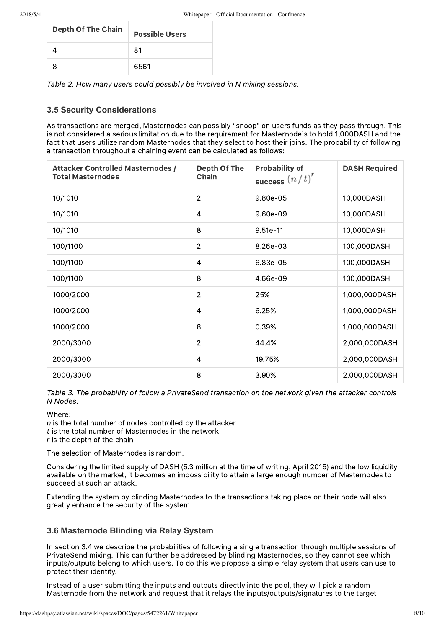| <b>Depth Of The Chain</b> | <b>Possible Users</b> |
|---------------------------|-----------------------|
|                           | 81                    |
|                           | 6561                  |

Table 2. How many users could possibly be involved in N mixing sessions.

### **3.5 Security Considerations**

As transactions are merged, Masternodes can possibly "snoop" on users funds as they pass through. This is not considered a serious limitation due to the requirement for Masternode's to hold 1,000DASH and the fact that users utilize random Masternodes that they select to host their joins. The probability of following a transaction throughout a chaining event can be calculated as follows:

| <b>Attacker Controlled Masternodes /</b><br><b>Total Masternodes</b> | <b>Depth Of The</b><br><b>Chain</b> | <b>Probability of</b><br>success $(n/t)^r$ | <b>DASH Required</b> |
|----------------------------------------------------------------------|-------------------------------------|--------------------------------------------|----------------------|
| 10/1010                                                              | $\overline{2}$                      | 9.80e-05                                   | 10,000DASH           |
| 10/1010                                                              | $\overline{4}$                      | 9.60e-09                                   | 10,000DASH           |
| 10/1010                                                              | 8                                   | $9.51e-11$                                 | 10,000DASH           |
| 100/1100                                                             | $\overline{2}$                      | 8.26e-03                                   | 100,000DASH          |
| 100/1100                                                             | 4                                   | 6.83e-05                                   | 100,000DASH          |
| 100/1100                                                             | 8                                   | 4.66e-09                                   | 100,000DASH          |
| 1000/2000                                                            | $\overline{2}$                      | 25%                                        | 1,000,000DASH        |
| 1000/2000                                                            | 4                                   | 6.25%                                      | 1,000,000DASH        |
| 1000/2000                                                            | 8                                   | 0.39%                                      | 1,000,000DASH        |
| 2000/3000                                                            | $\overline{2}$                      | 44.4%                                      | 2,000,000DASH        |
| 2000/3000                                                            | $\overline{4}$                      | 19.75%                                     | 2,000,000DASH        |
| 2000/3000                                                            | 8                                   | 3.90%                                      | 2,000,000DASH        |

Table 3. The probability of follow a PrivateSend transaction on the network given the attacker controls N Nodes.

Where:

 $n$  is the total number of nodes controlled by the attacker  $t$  is the total number of Masternodes in the network  $r$  is the depth of the chain

The selection of Masternodes is random.

Considering the limited supply of DASH (5.3 million at the time of writing, April 2015) and the low liquidity available on the market, it becomes an impossibility to attain a large enough number of Masternodes to succeed at such an attack.

Extending the system by blinding Masternodes to the transactions taking place on their node will also greatly enhance the security of the system.

#### **3.6 Masternode Blinding via Relay System**

In section 3.4 we describe the probabilities of following a single transaction through multiple sessions of PrivateSend mixing. This can further be addressed by blinding Masternodes, so they cannot see which inputs/outputs belong to which users. To do this we propose a simple relay system that users can use to protect their identity.

Instead of a user submitting the inputs and outputs directly into the pool, they will pick a random Masternode from the network and request that it relays the inputs/outputs/signatures to the target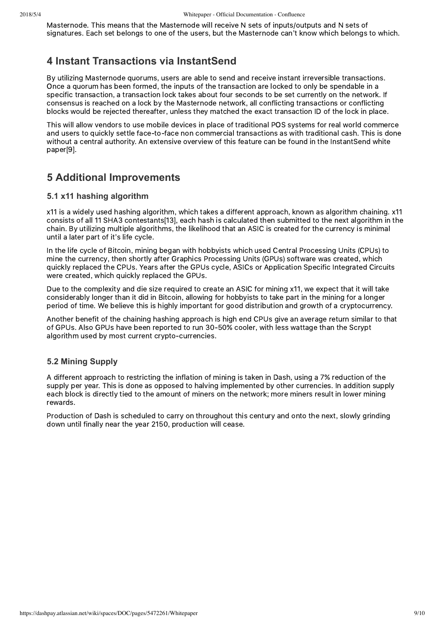Masternode. This means that the Masternode will receive N sets of inputs/outputs and N sets of signatures. Each set belongs to one of the users, but the Masternode can't know which belongs to which.

# **4 Instant Transactions via InstantSend**

By utilizing Masternode quorums, users are able to send and receive instant irreversible transactions. Once a quorum has been formed, the inputs of the transaction are locked to only be spendable in a specific transaction, a transaction lock takes about four seconds to be set currently on the network. If consensus is reached on a lock by the Masternode network, all conflicting transactions or conflicting blocks would be rejected thereafter, unless they matched the exact transaction ID of the lock in place.

This will allow vendors to use mobile devices in place of traditional POS systems for real world commerce and users to quickly settle face-to-face non commercial transactions as with traditional cash. This is done without a central authority. An extensive overview of this feature can be found in the InstantSend white paper[9].

# **5 Additional Improvements**

### **5.1 x11 hashing algorithm**

x11 is a widely used hashing algorithm, which takes a different approach, known as algorithm chaining. x11 consists of all 11 SHA3 contestants[13], each hash is calculated then submitted to the next algorithm in the chain. By utilizing multiple algorithms, the likelihood that an ASIC is created for the currency is minimal until a later part of it's life cycle.

In the life cycle of Bitcoin, mining began with hobbyists which used Central Processing Units (CPUs) to mine the currency, then shortly after Graphics Processing Units (GPUs) software was created, which quickly replaced the CPUs. Years after the GPUs cycle, ASICs or Application Specific Integrated Circuits were created, which quickly replaced the GPUs.

Due to the complexity and die size required to create an ASIC for mining x11, we expect that it will take considerably longer than it did in Bitcoin, allowing for hobbyists to take part in the mining for a longer period of time. We believe this is highly important for good distribution and growth of a cryptocurrency.

Another benefit of the chaining hashing approach is high end CPUs give an average return similar to that of GPUs. Also GPUs have been reported to run 30‑50% cooler, with less wattage than the Scrypt algorithm used by most current crypto-currencies.

### **5.2 Mining Supply**

A different approach to restricting the inflation of mining is taken in Dash, using a 7% reduction of the supply per year. This is done as opposed to halving implemented by other currencies. In addition supply each block is directly tied to the amount of miners on the network; more miners result in lower mining rewards.

Production of Dash is scheduled to carry on throughout this century and onto the next, slowly grinding down until finally near the year 2150, production will cease.